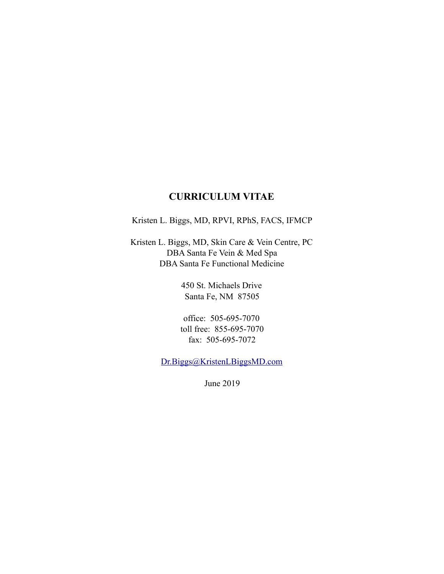## **CURRICULUM VITAE**

#### Kristen L. Biggs, MD, RPVI, RPhS, FACS, IFMCP

Kristen L. Biggs, MD, Skin Care & Vein Centre, PC DBA Santa Fe Vein & Med Spa DBA Santa Fe Functional Medicine

> 450 St. Michaels Drive Santa Fe, NM 87505

office: 505-695-7070 toll free: 855-695-7070 fax: 505-695-7072

[Dr.Biggs@KristenLBiggsMD.com](mailto:Dr.Biggs@KristenLBiggsMD.com)

June 2019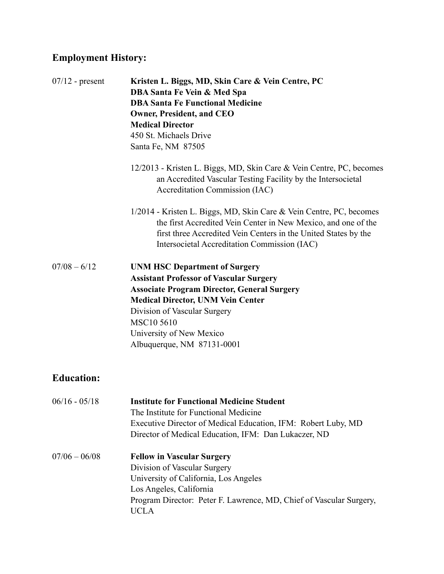# **Employment History:**

| $07/12$ - present | Kristen L. Biggs, MD, Skin Care & Vein Centre, PC<br>DBA Santa Fe Vein & Med Spa<br><b>DBA Santa Fe Functional Medicine</b><br><b>Owner, President, and CEO</b><br><b>Medical Director</b><br>450 St. Michaels Drive<br>Santa Fe, NM 87505                                                              |
|-------------------|---------------------------------------------------------------------------------------------------------------------------------------------------------------------------------------------------------------------------------------------------------------------------------------------------------|
|                   | 12/2013 - Kristen L. Biggs, MD, Skin Care & Vein Centre, PC, becomes<br>an Accredited Vascular Testing Facility by the Intersocietal<br>Accreditation Commission (IAC)                                                                                                                                  |
|                   | 1/2014 - Kristen L. Biggs, MD, Skin Care & Vein Centre, PC, becomes<br>the first Accredited Vein Center in New Mexico, and one of the<br>first three Accredited Vein Centers in the United States by the<br>Intersocietal Accreditation Commission (IAC)                                                |
| $07/08 - 6/12$    | <b>UNM HSC Department of Surgery</b><br><b>Assistant Professor of Vascular Surgery</b><br><b>Associate Program Director, General Surgery</b><br><b>Medical Director, UNM Vein Center</b><br>Division of Vascular Surgery<br><b>MSC10 5610</b><br>University of New Mexico<br>Albuquerque, NM 87131-0001 |
| <b>Education:</b> |                                                                                                                                                                                                                                                                                                         |
| $06/16 - 05/18$   | <b>Institute for Functional Medicine Student</b><br>The Institute for Functional Medicine<br>Executive Director of Medical Education, IFM: Robert Luby, MD<br>Director of Medical Education, IFM: Dan Lukaczer, ND                                                                                      |
| $07/06 - 06/08$   | <b>Fellow in Vascular Surgery</b><br>Division of Vascular Surgery<br>University of California, Los Angeles<br>Los Angeles, California<br>Program Director: Peter F. Lawrence, MD, Chief of Vascular Surgery,<br><b>UCLA</b>                                                                             |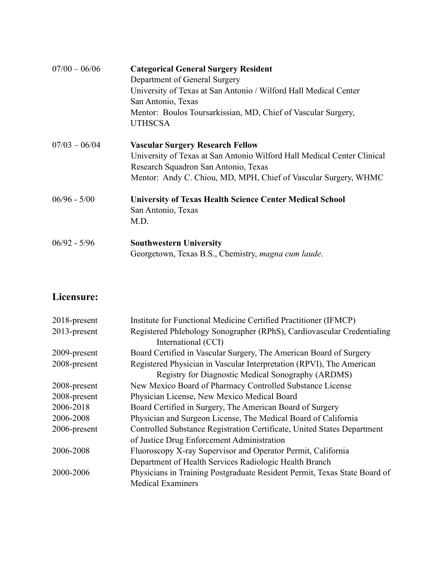| $07/00 - 06/06$ | <b>Categorical General Surgery Resident</b><br>Department of General Surgery<br>University of Texas at San Antonio / Wilford Hall Medical Center<br>San Antonio, Texas<br>Mentor: Boulos Toursarkissian, MD, Chief of Vascular Surgery,<br><b>UTHSCSA</b> |
|-----------------|-----------------------------------------------------------------------------------------------------------------------------------------------------------------------------------------------------------------------------------------------------------|
| $07/03 - 06/04$ | <b>Vascular Surgery Research Fellow</b><br>University of Texas at San Antonio Wilford Hall Medical Center Clinical<br>Research Squadron San Antonio, Texas<br>Mentor: Andy C. Chiou, MD, MPH, Chief of Vascular Surgery, WHMC                             |
| $06/96 - 5/00$  | <b>University of Texas Health Science Center Medical School</b><br>San Antonio, Texas<br>M.D.                                                                                                                                                             |
| $06/92 - 5/96$  | <b>Southwestern University</b><br>Georgetown, Texas B.S., Chemistry, magna cum laude.                                                                                                                                                                     |

# **Licensure:**

| 2018-present | Institute for Functional Medicine Certified Practitioner (IFMCP)          |
|--------------|---------------------------------------------------------------------------|
| 2013-present | Registered Phlebology Sonographer (RPhS), Cardiovascular Credentialing    |
|              | International (CCI)                                                       |
| 2009-present | Board Certified in Vascular Surgery, The American Board of Surgery        |
| 2008-present | Registered Physician in Vascular Interpretation (RPVI), The American      |
|              | <b>Registry for Diagnostic Medical Sonography (ARDMS)</b>                 |
| 2008-present | New Mexico Board of Pharmacy Controlled Substance License                 |
| 2008-present | Physician License, New Mexico Medical Board                               |
| 2006-2018    | Board Certified in Surgery, The American Board of Surgery                 |
| 2006-2008    | Physician and Surgeon License, The Medical Board of California            |
| 2006-present | Controlled Substance Registration Certificate, United States Department   |
|              | of Justice Drug Enforcement Administration                                |
| 2006-2008    | Fluoroscopy X-ray Supervisor and Operator Permit, California              |
|              | Department of Health Services Radiologic Health Branch                    |
| 2000-2006    | Physicians in Training Postgraduate Resident Permit, Texas State Board of |
|              | <b>Medical Examiners</b>                                                  |
|              |                                                                           |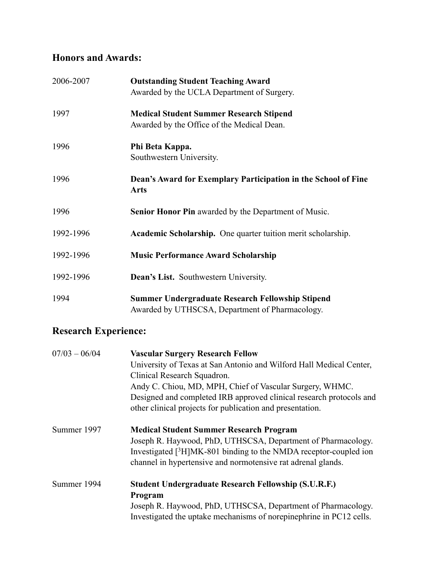## **Honors and Awards:**

| 2006-2007 | <b>Outstanding Student Teaching Award</b><br>Awarded by the UCLA Department of Surgery.             |
|-----------|-----------------------------------------------------------------------------------------------------|
| 1997      | <b>Medical Student Summer Research Stipend</b><br>Awarded by the Office of the Medical Dean.        |
| 1996      | Phi Beta Kappa.<br>Southwestern University.                                                         |
| 1996      | Dean's Award for Exemplary Participation in the School of Fine<br><b>Arts</b>                       |
| 1996      | <b>Senior Honor Pin awarded by the Department of Music.</b>                                         |
| 1992-1996 | Academic Scholarship. One quarter tuition merit scholarship.                                        |
| 1992-1996 | <b>Music Performance Award Scholarship</b>                                                          |
| 1992-1996 | Dean's List. Southwestern University.                                                               |
| 1994      | Summer Undergraduate Research Fellowship Stipend<br>Awarded by UTHSCSA, Department of Pharmacology. |

# **Research Experience:**

| $07/03 - 06/04$ | <b>Vascular Surgery Research Fellow</b><br>University of Texas at San Antonio and Wilford Hall Medical Center,<br>Clinical Research Squadron.<br>Andy C. Chiou, MD, MPH, Chief of Vascular Surgery, WHMC.<br>Designed and completed IRB approved clinical research protocols and<br>other clinical projects for publication and presentation. |
|-----------------|-----------------------------------------------------------------------------------------------------------------------------------------------------------------------------------------------------------------------------------------------------------------------------------------------------------------------------------------------|
| Summer 1997     | <b>Medical Student Summer Research Program</b><br>Joseph R. Haywood, PhD, UTHSCSA, Department of Pharmacology.<br>Investigated [ <sup>3</sup> H]MK-801 binding to the NMDA receptor-coupled ion<br>channel in hypertensive and normotensive rat adrenal glands.                                                                               |
| Summer 1994     | <b>Student Undergraduate Research Fellowship (S.U.R.F.)</b><br>Program<br>Joseph R. Haywood, PhD, UTHSCSA, Department of Pharmacology.<br>Investigated the uptake mechanisms of norepinephrine in PC12 cells.                                                                                                                                 |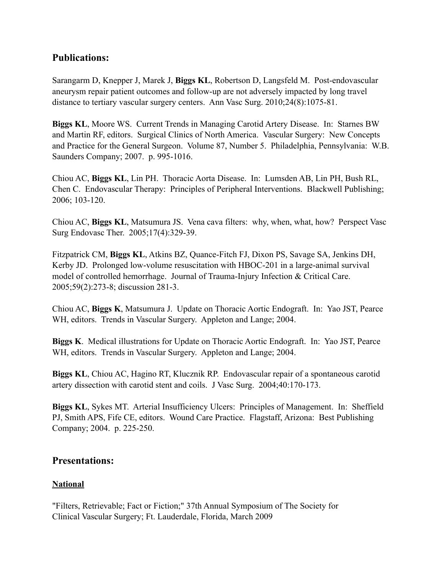### **Publications:**

Sarangarm D, Knepper J, Marek J, **Biggs KL**, Robertson D, Langsfeld M. Post-endovascular aneurysm repair patient outcomes and follow-up are not adversely impacted by long travel distance to tertiary vascular surgery centers. Ann Vasc Surg. 2010;24(8):1075-81.

**Biggs KL**, Moore WS. Current Trends in Managing Carotid Artery Disease. In: Starnes BW and Martin RF, editors. Surgical Clinics of North America. Vascular Surgery: New Concepts and Practice for the General Surgeon. Volume 87, Number 5. Philadelphia, Pennsylvania: W.B. Saunders Company; 2007. p. 995-1016.

Chiou AC, **Biggs KL**, Lin PH. Thoracic Aorta Disease. In: Lumsden AB, Lin PH, Bush RL, Chen C. Endovascular Therapy: Principles of Peripheral Interventions. Blackwell Publishing; 2006; 103-120.

Chiou AC, **Biggs KL**, Matsumura JS. Vena cava filters: why, when, what, how? Perspect Vasc Surg Endovasc Ther. 2005;17(4):329-39.

Fitzpatrick CM, **Biggs KL**, Atkins BZ, Quance-Fitch FJ, Dixon PS, Savage SA, Jenkins DH, Kerby JD. Prolonged low-volume resuscitation with HBOC-201 in a large-animal survival model of controlled hemorrhage. Journal of Trauma-Injury Infection & Critical Care. 2005;59(2):273-8; discussion 281-3.

Chiou AC, **Biggs K**, Matsumura J. Update on Thoracic Aortic Endograft. In: Yao JST, Pearce WH, editors. Trends in Vascular Surgery. Appleton and Lange; 2004.

**Biggs K**. Medical illustrations for Update on Thoracic Aortic Endograft. In: Yao JST, Pearce WH, editors. Trends in Vascular Surgery. Appleton and Lange; 2004.

**Biggs KL**, Chiou AC, Hagino RT, Klucznik RP. Endovascular repair of a spontaneous carotid artery dissection with carotid stent and coils. J Vasc Surg. 2004;40:170-173.

**Biggs KL**, Sykes MT. Arterial Insufficiency Ulcers: Principles of Management. In: Sheffield PJ, Smith APS, Fife CE, editors. Wound Care Practice. Flagstaff, Arizona: Best Publishing Company; 2004. p. 225-250.

### **Presentations:**

#### **National**

"Filters, Retrievable; Fact or Fiction;" 37th Annual Symposium of The Society for Clinical Vascular Surgery; Ft. Lauderdale, Florida, March 2009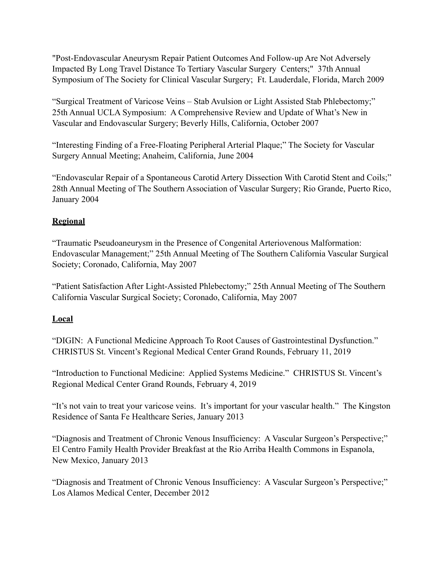"Post-Endovascular Aneurysm Repair Patient Outcomes And Follow-up Are Not Adversely Impacted By Long Travel Distance To Tertiary Vascular Surgery Centers;" 37th Annual Symposium of The Society for Clinical Vascular Surgery; Ft. Lauderdale, Florida, March 2009

"Surgical Treatment of Varicose Veins – Stab Avulsion or Light Assisted Stab Phlebectomy;" 25th Annual UCLA Symposium: A Comprehensive Review and Update of What's New in Vascular and Endovascular Surgery; Beverly Hills, California, October 2007

"Interesting Finding of a Free-Floating Peripheral Arterial Plaque;" The Society for Vascular Surgery Annual Meeting; Anaheim, California, June 2004

"Endovascular Repair of a Spontaneous Carotid Artery Dissection With Carotid Stent and Coils;" 28th Annual Meeting of The Southern Association of Vascular Surgery; Rio Grande, Puerto Rico, January 2004

#### **Regional**

"Traumatic Pseudoaneurysm in the Presence of Congenital Arteriovenous Malformation: Endovascular Management;" 25th Annual Meeting of The Southern California Vascular Surgical Society; Coronado, California, May 2007

"Patient Satisfaction After Light-Assisted Phlebectomy;" 25th Annual Meeting of The Southern California Vascular Surgical Society; Coronado, California, May 2007

#### **Local**

"DIGIN: A Functional Medicine Approach To Root Causes of Gastrointestinal Dysfunction." CHRISTUS St. Vincent's Regional Medical Center Grand Rounds, February 11, 2019

"Introduction to Functional Medicine: Applied Systems Medicine." CHRISTUS St. Vincent's Regional Medical Center Grand Rounds, February 4, 2019

"It's not vain to treat your varicose veins. It's important for your vascular health." The Kingston Residence of Santa Fe Healthcare Series, January 2013

"Diagnosis and Treatment of Chronic Venous Insufficiency: A Vascular Surgeon's Perspective;" El Centro Family Health Provider Breakfast at the Rio Arriba Health Commons in Espanola, New Mexico, January 2013

"Diagnosis and Treatment of Chronic Venous Insufficiency: A Vascular Surgeon's Perspective;" Los Alamos Medical Center, December 2012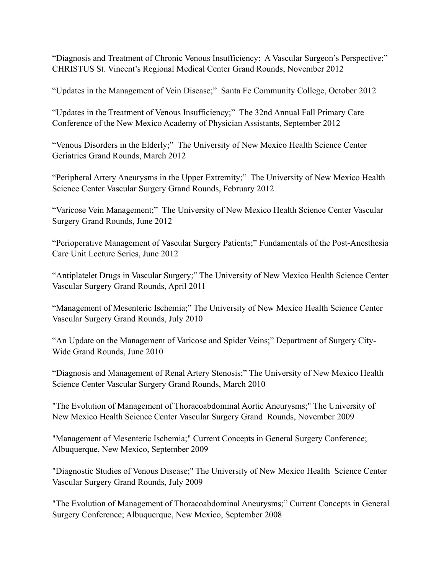"Diagnosis and Treatment of Chronic Venous Insufficiency: A Vascular Surgeon's Perspective;" CHRISTUS St. Vincent's Regional Medical Center Grand Rounds, November 2012

"Updates in the Management of Vein Disease;" Santa Fe Community College, October 2012

"Updates in the Treatment of Venous Insufficiency;" The 32nd Annual Fall Primary Care Conference of the New Mexico Academy of Physician Assistants, September 2012

"Venous Disorders in the Elderly;" The University of New Mexico Health Science Center Geriatrics Grand Rounds, March 2012

"Peripheral Artery Aneurysms in the Upper Extremity;" The University of New Mexico Health Science Center Vascular Surgery Grand Rounds, February 2012

"Varicose Vein Management;" The University of New Mexico Health Science Center Vascular Surgery Grand Rounds, June 2012

"Perioperative Management of Vascular Surgery Patients;" Fundamentals of the Post-Anesthesia Care Unit Lecture Series, June 2012

"Antiplatelet Drugs in Vascular Surgery;" The University of New Mexico Health Science Center Vascular Surgery Grand Rounds, April 2011

"Management of Mesenteric Ischemia;" The University of New Mexico Health Science Center Vascular Surgery Grand Rounds, July 2010

"An Update on the Management of Varicose and Spider Veins;" Department of Surgery City-Wide Grand Rounds, June 2010

"Diagnosis and Management of Renal Artery Stenosis;" The University of New Mexico Health Science Center Vascular Surgery Grand Rounds, March 2010

"The Evolution of Management of Thoracoabdominal Aortic Aneurysms;" The University of New Mexico Health Science Center Vascular Surgery Grand Rounds, November 2009

"Management of Mesenteric Ischemia;" Current Concepts in General Surgery Conference; Albuquerque, New Mexico, September 2009

"Diagnostic Studies of Venous Disease;" The University of New Mexico Health Science Center Vascular Surgery Grand Rounds, July 2009

"The Evolution of Management of Thoracoabdominal Aneurysms;" Current Concepts in General Surgery Conference; Albuquerque, New Mexico, September 2008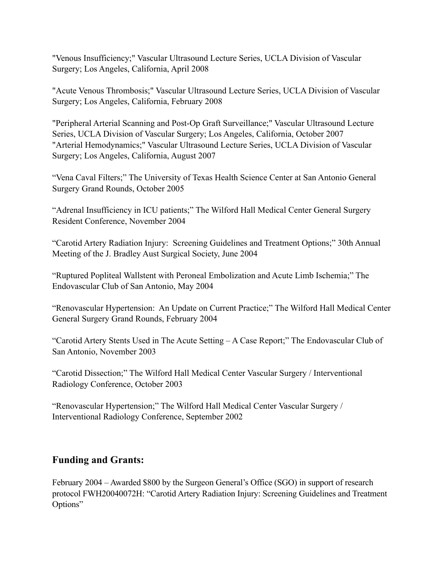"Venous Insufficiency;" Vascular Ultrasound Lecture Series, UCLA Division of Vascular Surgery; Los Angeles, California, April 2008

"Acute Venous Thrombosis;" Vascular Ultrasound Lecture Series, UCLA Division of Vascular Surgery; Los Angeles, California, February 2008

"Peripheral Arterial Scanning and Post-Op Graft Surveillance;" Vascular Ultrasound Lecture Series, UCLA Division of Vascular Surgery; Los Angeles, California, October 2007 "Arterial Hemodynamics;" Vascular Ultrasound Lecture Series, UCLA Division of Vascular Surgery; Los Angeles, California, August 2007

"Vena Caval Filters;" The University of Texas Health Science Center at San Antonio General Surgery Grand Rounds, October 2005

"Adrenal Insufficiency in ICU patients;" The Wilford Hall Medical Center General Surgery Resident Conference, November 2004

"Carotid Artery Radiation Injury: Screening Guidelines and Treatment Options;" 30th Annual Meeting of the J. Bradley Aust Surgical Society, June 2004

"Ruptured Popliteal Wallstent with Peroneal Embolization and Acute Limb Ischemia;" The Endovascular Club of San Antonio, May 2004

"Renovascular Hypertension: An Update on Current Practice;" The Wilford Hall Medical Center General Surgery Grand Rounds, February 2004

"Carotid Artery Stents Used in The Acute Setting – A Case Report;" The Endovascular Club of San Antonio, November 2003

"Carotid Dissection;" The Wilford Hall Medical Center Vascular Surgery / Interventional Radiology Conference, October 2003

"Renovascular Hypertension;" The Wilford Hall Medical Center Vascular Surgery / Interventional Radiology Conference, September 2002

### **Funding and Grants:**

February 2004 – Awarded \$800 by the Surgeon General's Office (SGO) in support of research protocol FWH20040072H: "Carotid Artery Radiation Injury: Screening Guidelines and Treatment Options"